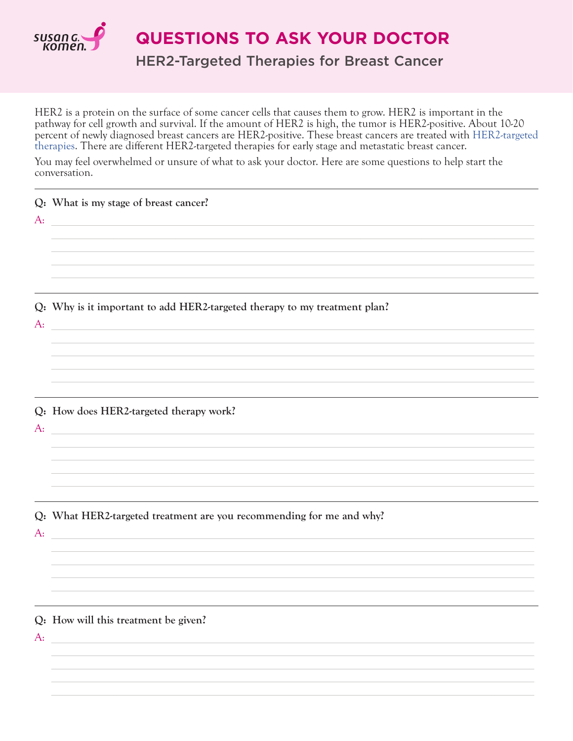

**QUESTIONS TO ASK YOUR DOCTOR** 

**HER2-Targeted Therapies for Breast Cancer** 

HER2 is a protein on the surface of some cancer cells that causes them to grow. HER2 is important in the pathway for cell growth and survival. If the amount of HER2 is high, the tumor is HER2-positive. About 10-20 percent of newly diagnosed breast cancers are HER2-positive. These breast cancers are treated with HER2-targeted therapies. There are different HER2-targeted therapies for early stage and metastatic breast cancer.

You may feel overwhelmed or unsure of what to ask your doctor. Here are some questions to help start the conversation.

| $A$ : | Q: What is my stage of breast cancer?<br><u> 1980 - Jan Barbara de Barbara, poeta especial de la provincia de la provincia de la provincia de la provincia</u> |
|-------|----------------------------------------------------------------------------------------------------------------------------------------------------------------|
| $A$ : | Q: Why is it important to add HER2-targeted therapy to my treatment plan?                                                                                      |
| $A$ : | Q: How does HER2-targeted therapy work?                                                                                                                        |
| $A$ : | Q: What HER2-targeted treatment are you recommending for me and why?                                                                                           |
| $A$ : | Q: How will this treatment be given?                                                                                                                           |